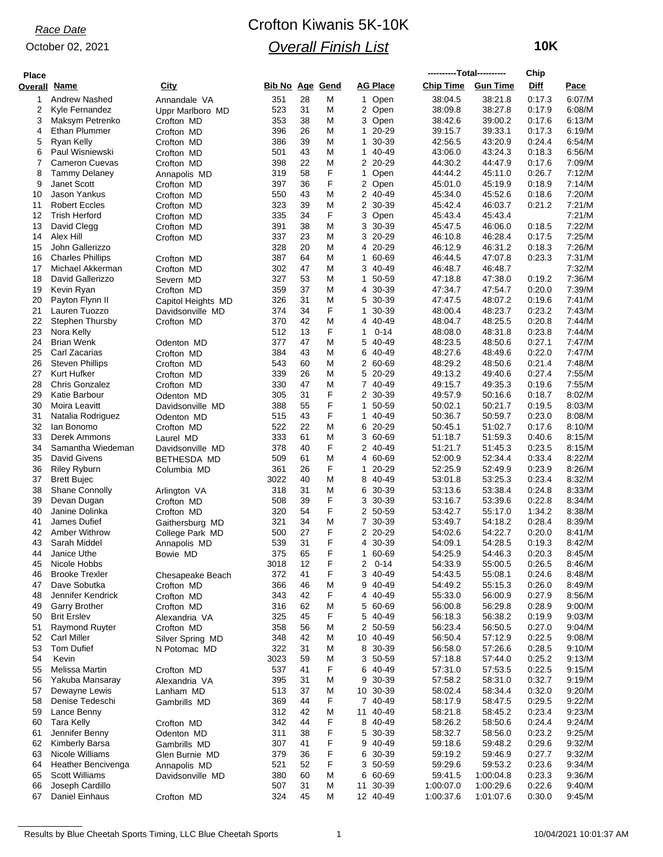#### October 02, 2021

## Crofton Kiwanis 5K-10K *Overall Finish List*

 **10K**

| <b>Place</b> |                                      |                                    |                        |          |        |                    |                    | ----------Total---------- |                    | Chip             |                  |
|--------------|--------------------------------------|------------------------------------|------------------------|----------|--------|--------------------|--------------------|---------------------------|--------------------|------------------|------------------|
| Overall      | Name                                 | City                               | <b>Bib No Age Gend</b> |          |        | <b>AG Place</b>    |                    | <b>Chip Time</b>          | <b>Gun Time</b>    | Diff             | Pace             |
| 1            | <b>Andrew Nashed</b>                 | Annandale VA                       | 351                    | 28       | M      | 1                  | Open               | 38:04.5                   | 38:21.8            | 0:17.3           | 6:07/M           |
| 2            | Kyle Fernandez                       | Uppr Marlboro MD                   | 523                    | 31       | M      | 2 Open             |                    | 38:09.8                   | 38:27.8            | 0:17.9           | 6:08/M           |
| 3            | Maksym Petrenko                      | Crofton MD                         | 353                    | 38       | M      | 3 Open             |                    | 38.42.6                   | 39:00.2            | 0.17.6           | 6:13/M           |
| 4<br>5       | Ethan Plummer                        | Crofton MD                         | 396<br>386             | 26<br>39 | M<br>M | 1<br>1             | $20 - 29$<br>30-39 | 39:15.7<br>42:56.5        | 39:33.1<br>43.20.9 | 0:17.3<br>0.24.4 | 6:19/M<br>6:54/M |
| 6            | Ryan Kelly<br>Paul Wisniewski        | Crofton MD<br>Crofton MD           | 501                    | 43       | M      | 1 40-49            |                    | 43.06.0                   | 43:24.3            | 0:18.3           | 6:56/M           |
| 7            | <b>Cameron Cuevas</b>                | Crofton MD                         | 398                    | 22       | M      | 2 20-29            |                    | 44:30.2                   | 44:47.9            | 0:17.6           | 7:09/M           |
| 8            | <b>Tammy Delaney</b>                 | Annapolis MD                       | 319                    | 58       | F      | $\mathbf{1}$       | Open               | 44:44.2                   | 45:11.0            | 0:26.7           | 7:12/M           |
| 9            | <b>Janet Scott</b>                   | Crofton MD                         | 397                    | 36       | F      | 2 Open             |                    | 45:01.0                   | 45:19.9            | 0:18.9           | 7:14/M           |
| 10           | Jason Yankus                         | Crofton MD                         | 550                    | 43       | M      | 2 40-49            |                    | 45:34.0                   | 45:52.6            | 0:18.6           | 7:20/M           |
| 11           | <b>Robert Eccles</b>                 | Crofton MD                         | 323                    | 39       | M      | $\overline{2}$     | 30-39              | 45:42.4                   | 46:03.7            | 0:21.2           | 7:21/M           |
| 12           | <b>Trish Herford</b>                 | Crofton MD                         | 335                    | 34       | F      | 3                  | Open               | 45:43.4                   | 45:43.4            |                  | 7:21/M           |
| 13<br>14     | David Clegg<br>Alex Hill             | Crofton MD                         | 391<br>337             | 38<br>23 | M<br>Μ | 3<br>3 20-29       | 30-39              | 45:47.5<br>46:10.8        | 46:06.0<br>46:28.4 | 0:18.5<br>0:17.5 | 7:22/M<br>7:25/M |
| 15           | John Gallerizzo                      | Crofton MD                         | 328                    | 20       | M      | 4 20-29            |                    | 46:12.9                   | 46:31.2            | 0.18.3           | 7:26/M           |
| 16           | <b>Charles Phillips</b>              | Crofton MD                         | 387                    | 64       | M      | 1                  | 60-69              | 46:44.5                   | 47:07.8            | 0:23.3           | 7:31/M           |
| 17           | Michael Akkerman                     | Crofton MD                         | 302                    | 47       | Μ      | 3 40-49            |                    | 46:48.7                   | 46:48.7            |                  | 7:32/M           |
| 18           | David Gallerizzo                     | Severn MD                          | 327                    | 53       | M      | 1                  | 50-59              | 47:18.8                   | 47:38.0            | 0:19.2           | 7:36/M           |
| 19           | Kevin Ryan                           | Crofton MD                         | 359                    | 37       | M      | 4                  | 30-39              | 47:34.7                   | 47:54.7            | 0:20.0           | 7:39/M           |
| 20           | Payton Flynn II                      | Capitol Heights MD                 | 326                    | 31       | M      | 5                  | 30-39              | 47:47.5                   | 48:07.2            | 0:19.6           | 7:41/M           |
| 21           | Lauren Tuozzo                        | Davidsonville MD                   | 374                    | 34       | F      | 1                  | 30-39              | 48:00.4                   | 48:23.7            | 0:23.2           | 7:43/M           |
| 22           | Stephen Thursby                      | Crofton MD                         | 370                    | 42       | Μ      | 4 40-49            |                    | 48:04.7                   | 48:25.5            | 0:20.8           | 7:44/M           |
| 23<br>24     | Nora Kelly<br><b>Brian Wenk</b>      | Odenton MD                         | 512<br>377             | 13<br>47 | F<br>M | 1<br>5             | $0 - 14$<br>40-49  | 48:08.0<br>48:23.5        | 48:31.8<br>48:50.6 | 0.23.8<br>0:27.1 | 7:44/M<br>7:47/M |
| 25           | Carl Zacarias                        | Crofton MD                         | 384                    | 43       | Μ      | 6 40-49            |                    | 48.27.6                   | 48:49.6            | 0.22.0           | 7:47/M           |
| 26           | <b>Steven Phillips</b>               | Crofton MD                         | 543                    | 60       | M      | 2 60-69            |                    | 48:29.2                   | 48:50.6            | 0:21.4           | 7:48/M           |
| 27           | Kurt Hufker                          | Crofton MD                         | 339                    | 26       | M      | 5                  | 20-29              | 49:13.2                   | 49:40.6            | 0.27.4           | 7:55/M           |
| 28           | <b>Chris Gonzalez</b>                | Crofton MD                         | 330                    | 47       | M      | 7 40-49            |                    | 49:15.7                   | 49:35.3            | 0:19.6           | 7:55/M           |
| 29           | Katie Barbour                        | Odenton MD                         | 305                    | 31       | F      | 2 30-39            |                    | 49.57.9                   | 50:16.6            | 0:18.7           | 8:02/M           |
| 30           | Moira Leavitt                        | Davidsonville MD                   | 388                    | 55       | F      | 1                  | 50-59              | 50:02.1                   | 50:21.7            | 0:19.5           | 8:03/M           |
| 31           | Natalia Rodriguez                    | Odenton MD                         | 515                    | 43       | F      | 1                  | 40-49              | 50:36.7                   | 50:59.7            | 0.23.0           | 8:08/M           |
| 32<br>33     | lan Bonomo<br>Derek Ammons           | Crofton MD                         | 522<br>333             | 22<br>61 | M<br>M | 6<br>3             | 20-29<br>60-69     | 50:45.1<br>51:18.7        | 51:02.7<br>51:59.3 | 0:17.6<br>0.40.6 | 8:10/M<br>8:15/M |
| 34           | Samantha Wiedeman                    | Laurel MD<br>Davidsonville MD      | 378                    | 40       | F      | 2 40-49            |                    | 51:21.7                   | 51:45.3            | 0.23.5           | 8:15/M           |
| 35           | <b>David Givens</b>                  | BETHESDA MD                        | 509                    | 61       | M      | 4 60-69            |                    | 52:00.9                   | 52:34.4            | 0:33.4           | 8:22/M           |
| 36           | <b>Riley Ryburn</b>                  | Columbia MD                        | 361                    | 26       | F      | $\mathbf{1}$       | 20-29              | 52:25.9                   | 52:49.9            | 0.23.9           | 8:26/M           |
| 37           | <b>Brett Bujec</b>                   |                                    | 3022                   | 40       | M      | 8 40-49            |                    | 53:01.8                   | 53.25.3            | 0:23.4           | 8:32/M           |
| 38           | <b>Shane Connolly</b>                | Arlington VA                       | 318                    | 31       | Μ      | 6 30-39            |                    | 53:13.6                   | 53:38.4            | 0:24.8           | 8:33/M           |
| 39           | Devan Dugan                          | Crofton MD                         | 508                    | 39       | F      | 3                  | 30-39              | 53:16.7                   | 53.39.6            | 0.22.8           | 8:34/M           |
| 40           | Janine Dolinka                       | Crofton MD                         | 320                    | 54       | F      | 2 50-59            |                    | 53:42.7                   | 55:17.0            | 1:34.2           | 8:38/M           |
| 41<br>42     | James Dufief<br><b>Amber Withrow</b> | Gaithersburg MD<br>College Park MD | 321<br>500             | 34<br>27 | M<br>F | 7 30-39<br>2 20-29 |                    | 53.49.7<br>54:02.6        | 54:18.2<br>54:22.7 | 0.28.4<br>0.20.0 | 8:39/M<br>8:41/M |
| 43           | Sarah Middel                         | Annapolis MD                       | 539                    | 31       | F      | 4 30-39            |                    | 54:09.1                   | 54.28.5            | 0:19.3           | 8:42/M           |
| 44           | Janice Uthe                          | Bowie MD                           | 375                    | 65       | F      | 1                  | 60-69              | 54:25.9                   | 54:46.3            | 0.20.3           | 8:45/M           |
| 45           | Nicole Hobbs                         |                                    | 3018                   | 12       | F      | 2                  | $0 - 14$           | 54:33.9                   | 55:00.5            | 0.26.5           | 8:46/M           |
| 46           | <b>Brooke Trexler</b>                | Chesapeake Beach                   | 372                    | 41       | F      | 3 40-49            |                    | 54:43.5                   | 55:08.1            | 0.24.6           | 8:48/M           |
| 47           | Dave Sobutka                         | Crofton MD                         | 366                    | 46       | M      | 9 40-49            |                    | 54:49.2                   | 55:15.3            | 0:26.0           | 8:49/M           |
| 48           | Jennifer Kendrick                    | Crofton MD                         | 343                    | 42       | F      | 4                  | 40-49              | 55:33.0                   | 56:00.9            | 0:27.9           | 8:56/M           |
| 49           | <b>Garry Brother</b>                 | Crofton MD                         | 316                    | 62       | M      | 5 60-69            |                    | 56:00.8                   | 56:29.8            | 0.28.9           | 9:00/M           |
| 50<br>51     | <b>Brit Erslev</b><br>Raymond Ruyter | Alexandria VA<br>Crofton MD        | 325<br>358             | 45<br>56 | F<br>M | 5 40-49<br>2 50-59 |                    | 56:18.3<br>56:23.4        | 56:38.2<br>56:50.5 | 0.19.9<br>0.27.0 | 9:03/M<br>9:04/M |
| 52           | <b>Carl Miller</b>                   | Silver Spring MD                   | 348                    | 42       | Μ      | 10 40-49           |                    | 56:50.4                   | 57:12.9            | 0.22.5           | 9:08/M           |
| 53           | Tom Dufief                           | N Potomac MD                       | 322                    | 31       | M      | 8 30-39            |                    | 56:58.0                   | 57:26.6            | 0.28.5           | 9:10/M           |
| 54           | Kevin                                |                                    | 3023                   | 59       | Μ      | 3 50-59            |                    | 57:18.8                   | 57:44.0            | 0:25.2           | 9:13/M           |
| 55           | Melissa Martin                       | Crofton MD                         | 537                    | 41       | F      | 6 40-49            |                    | 57:31.0                   | 57:53.5            | 0:22.5           | 9:15/M           |
| 56           | Yakuba Mansaray                      | Alexandria VA                      | 395                    | 31       | M      | 9                  | 30-39              | 57:58.2                   | 58:31.0            | 0:32.7           | 9:19/M           |
| 57           | Dewayne Lewis                        | Lanham MD                          | 513                    | 37       | Μ      | 10 30-39           |                    | 58:02.4                   | 58.34.4            | 0:32.0           | 9:20/M           |
| 58           | Denise Tedeschi                      | Gambrills MD                       | 369                    | 44       | F      | 7 40-49            |                    | 58:17.9                   | 58.47.5            | 0:29.5           | 9:22/M           |
| 59           | Lance Benny<br><b>Tara Kelly</b>     |                                    | 312<br>342             | 42<br>44 | M      | 11<br>8 40-49      | 40-49              | 58:21.8                   | 58:45.2<br>58.50.6 | 0.23.4<br>0.24.4 | 9:23/M<br>9:24/M |
| 60<br>61     | Jennifer Benny                       | Crofton MD<br>Odenton MD           | 311                    | 38       | F<br>F | 5 30-39            |                    | 58:26.2<br>58:32.7        | 58.56.0            | 0:23.2           | 9:25/M           |
| 62           | Kimberly Barsa                       | Gambrills MD                       | 307                    | 41       | F      | 9 40-49            |                    | 59:18.6                   | 59:48.2            | 0.29.6           | 9:32/M           |
| 63           | Nicole Williams                      | Glen Burnie MD                     | 379                    | 36       | F      | 6 30-39            |                    | 59:19.2                   | 59:46.9            | 0:27.7           | 9:32/M           |
| 64           | Heather Bencivenga                   | Annapolis MD                       | 521                    | 52       | F      | 3                  | 50-59              | 59:29.6                   | 59:53.2            | 0.23.6           | 9:34/M           |
| 65           | <b>Scott Williams</b>                | Davidsonville MD                   | 380                    | 60       | Μ      | 6 60-69            |                    | 59:41.5                   | 1:00:04.8          | 0.23.3           | 9:36/M           |
| 66           | Joseph Cardillo                      |                                    | 507                    | 31       | M      | 11                 | 30-39              | 1:00:07.0                 | 1:00:29.6          | 0:22.6           | 9:40/M           |
| 67           | Daniel Einhaus                       | Crofton MD                         | 324                    | 45       | M      | 12 40-49           |                    | 1:00:37.6                 | 1:01:07.6          | 0:30.0           | 9:45/M           |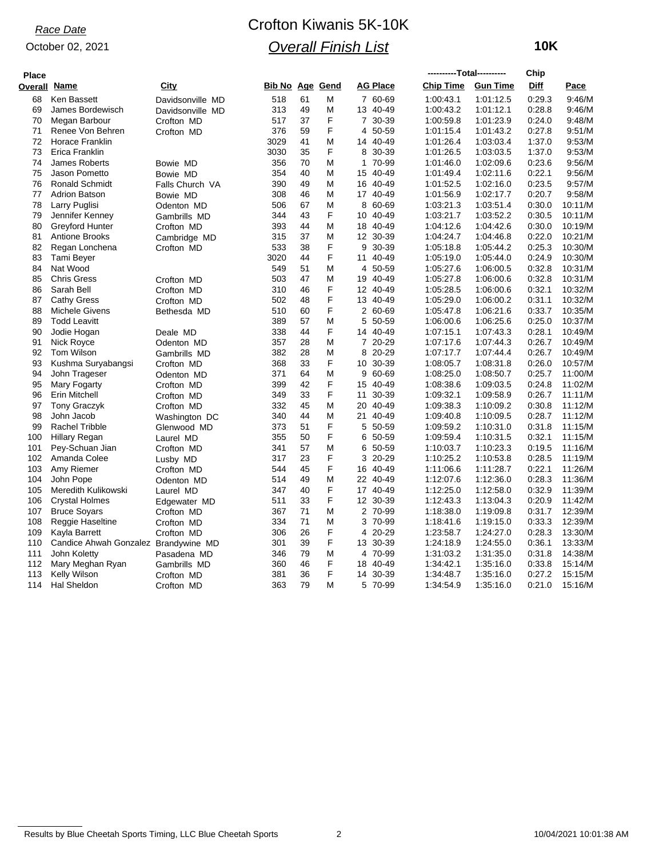### *Race Date*

#### October 02, 2021

# Crofton Kiwanis 5K-10K *Overall Finish List*

 **10K**

| <b>Place</b> |                                      |                            |                        |    |   |                |                 | ----------Total---------- |                 | Chip        |         |
|--------------|--------------------------------------|----------------------------|------------------------|----|---|----------------|-----------------|---------------------------|-----------------|-------------|---------|
| Overall      | <u>Name</u>                          | <u>City</u>                | <b>Bib No Age Gend</b> |    |   |                | <b>AG Place</b> | <b>Chip Time</b>          | <b>Gun Time</b> | <b>Diff</b> | Pace    |
| 68           | Ken Bassett                          | Davidsonville MD           | 518                    | 61 | M |                | 7 60-69         | 1:00:43.1                 | 1:01:12.5       | 0.29.3      | 9:46/M  |
| 69           | James Bordewisch                     | Davidsonville MD           | 313                    | 49 | M |                | 13 40-49        | 1:00:43.2                 | 1:01:12.1       | 0:28.8      | 9:46/M  |
| 70           | Megan Barbour                        | Crofton MD                 | 517                    | 37 | F | $\overline{7}$ | 30-39           | 1:00:59.8                 | 1:01:23.9       | 0.24.0      | 9:48/M  |
| 71           | Renee Von Behren                     | Crofton MD                 | 376                    | 59 | F | 4              | 50-59           | 1:01:15.4                 | 1:01:43.2       | 0:27.8      | 9.51/M  |
| 72           | Horace Franklin                      |                            | 3029                   | 41 | M |                | 14 40-49        | 1:01:26.4                 | 1:03:03.4       | 1:37.0      | 9.53/M  |
| 73           | Erica Franklin                       |                            | 3030                   | 35 | F |                | 8 30-39         | 1:01:26.5                 | 1:03:03.5       | 1:37.0      | 9.53/M  |
| 74           | James Roberts                        | Bowie MD                   | 356                    | 70 | M | $\mathbf{1}$   | 70-99           | 1:01:46.0                 | 1:02:09.6       | 0:23.6      | 9:56/M  |
| 75           | Jason Pometto                        | Bowie MD                   | 354                    | 40 | M |                | 15 40-49        | 1:01:49.4                 | 1:02:11.6       | 0.22.1      | 9:56/M  |
| 76           | <b>Ronald Schmidt</b>                | Falls Church VA            | 390                    | 49 | M |                | 16 40-49        | 1:01:52.5                 | 1:02:16.0       | 0:23.5      | 9.57/M  |
| 77           | <b>Adrion Batson</b>                 | Bowie MD                   | 308                    | 46 | M |                | 17 40-49        | 1:01:56.9                 | 1:02:17.7       | 0:20.7      | 9:58/M  |
| 78           | Larry Puglisi                        | Odenton MD                 | 506                    | 67 | M | 8              | 60-69           | 1:03:21.3                 | 1:03:51.4       | 0:30.0      | 10:11/M |
| 79           | Jennifer Kenney                      | Gambrills MD               | 344                    | 43 | F |                | 10 40-49        | 1:03:21.7                 | 1:03:52.2       | 0:30.5      | 10:11/M |
| 80           | Greyford Hunter                      | Crofton MD                 | 393                    | 44 | M |                | 18 40-49        | 1:04:12.6                 | 1:04:42.6       | 0:30.0      | 10:19/M |
| 81           | <b>Antione Brooks</b>                | Cambridge MD               | 315                    | 37 | M |                | 12 30-39        | 1:04:24.7                 | 1:04:46.8       | 0:22.0      | 10:21/M |
| 82           | Regan Lonchena                       | Crofton MD                 | 533                    | 38 | F | 9              | 30-39           | 1:05:18.8                 | 1:05:44.2       | 0:25.3      | 10:30/M |
| 83           | Tami Beyer                           |                            | 3020                   | 44 | F | 11             | 40-49           | 1:05:19.0                 | 1:05:44.0       | 0.24.9      | 10:30/M |
| 84           | Nat Wood                             |                            | 549                    | 51 | M | 4              | 50-59           | 1:05:27.6                 | 1:06:00.5       | 0:32.8      | 10:31/M |
| 85           | <b>Chris Gress</b>                   | Crofton MD                 | 503                    | 47 | M |                | 19 40-49        | 1:05:27.8                 | 1:06:00.6       | 0:32.8      | 10:31/M |
| 86           | Sarah Bell                           | Crofton MD                 | 310                    | 46 | F |                | 12 40-49        | 1:05:28.5                 | 1:06:00.6       | 0.32.1      | 10:32/M |
| 87           | <b>Cathy Gress</b>                   | Crofton MD                 | 502                    | 48 | F |                | 13 40-49        | 1:05:29.0                 | 1:06:00.2       | 0.31.1      | 10:32/M |
| 88           | <b>Michele Givens</b>                | Bethesda MD                | 510                    | 60 | F |                | 2 60-69         | 1:05:47.8                 | 1:06:21.6       | 0:33.7      | 10:35/M |
| 89           | <b>Todd Leavitt</b>                  |                            | 389                    | 57 | M | 5              | 50-59           | 1:06:00.6                 | 1:06:25.6       | 0:25.0      | 10:37/M |
| 90           | Jodie Hogan                          | Deale MD                   | 338                    | 44 | F |                | 14 40-49        | 1:07:15.1                 | 1:07:43.3       | 0.28.1      | 10:49/M |
| 91           | Nick Royce                           | Odenton MD                 | 357                    | 28 | M |                | 7 20-29         | 1:07:17.6                 | 1:07:44.3       | 0:26.7      | 10:49/M |
| 92           | Tom Wilson                           | Gambrills MD               | 382                    | 28 | M | 8              | 20-29           | 1:07:17.7                 | 1:07:44.4       | 0:26.7      | 10:49/M |
| 93           | Kushma Suryabangsi                   | Crofton MD                 | 368                    | 33 | F |                | 10 30-39        | 1:08:05.7                 | 1:08:31.8       | 0.26.0      | 10:57/M |
| 94           | John Trageser                        | Odenton MD                 | 371                    | 64 | M | 9              | 60-69           | 1:08:25.0                 | 1:08:50.7       | 0:25.7      | 11:00/M |
| 95           | Mary Fogarty                         | Crofton MD                 | 399                    | 42 | F |                | 15 40-49        | 1:08:38.6                 | 1:09:03.5       | 0:24.8      | 11:02/M |
| 96           | Erin Mitchell                        | Crofton MD                 | 349                    | 33 | F | 11             | 30-39           | 1:09:32.1                 | 1:09:58.9       | 0:26.7      | 11:11/M |
| 97           | <b>Tony Graczyk</b>                  | Crofton MD                 | 332                    | 45 | M |                | 20 40-49        | 1:09:38.3                 | 1:10:09.2       | 0:30.8      | 11:12/M |
| 98           | John Jacob                           | Washington DC              | 340                    | 44 | M | 21             | 40-49           | 1:09:40.8                 | 1:10:09.5       | 0:28.7      | 11:12/M |
| 99           | <b>Rachel Tribble</b>                | Glenwood MD                | 373                    | 51 | F | 5              | 50-59           | 1:09:59.2                 | 1:10:31.0       | 0:31.8      | 11:15/M |
| 100          | <b>Hillary Regan</b>                 | Laurel MD                  | 355                    | 50 | F | 6              | 50-59           | 1:09:59.4                 | 1:10:31.5       | 0.32.1      | 11:15/M |
| 101          | Pey-Schuan Jian                      | Crofton MD                 | 341                    | 57 | M | 6              | 50-59           | 1:10:03.7                 | 1:10:23.3       | 0:19.5      | 11:16/M |
| 102          | Amanda Colee                         | Lusby MD                   | 317                    | 23 | F | 3              | 20-29           | 1:10:25.2                 | 1:10:53.8       | 0:28.5      | 11:19/M |
| 103          | Amy Riemer                           | Crofton MD                 | 544                    | 45 | F |                | 16 40-49        | 1:11:06.6                 | 1:11:28.7       | 0:22.1      | 11:26/M |
| 104          | John Pope                            | Odenton MD                 | 514                    | 49 | M |                | 22 40-49        | 1:12:07.6                 | 1:12:36.0       | 0:28.3      | 11:36/M |
| 105          | Meredith Kulikowski                  | Laurel MD                  | 347                    | 40 | F |                | 17 40-49        | 1:12:25.0                 | 1:12:58.0       | 0:32.9      | 11:39/M |
| 106          | Crystal Holmes                       |                            | 511                    | 33 | F |                | 12 30-39        | 1:12:43.3                 | 1:13:04.3       | 0:20.9      | 11:42/M |
| 107          | <b>Bruce Soyars</b>                  | Edgewater MD<br>Crofton MD | 367                    | 71 | M |                | 2 70-99         | 1:18:38.0                 | 1:19:09.8       | 0:31.7      | 12:39/M |
| 108          | Reggie Haseltine                     |                            | 334                    | 71 | M | 3              | 70-99           | 1:18:41.6                 | 1:19:15.0       | 0:33.3      | 12:39/M |
| 109          | Kayla Barrett                        | Crofton MD                 | 306                    | 26 | F | 4              | 20-29           | 1:23:58.7                 | 1:24:27.0       | 0:28.3      | 13:30/M |
| 110          |                                      | Crofton MD                 | 301                    | 39 | F |                | 13 30-39        | 1:24:18.9                 | 1:24:55.0       | 0.36.1      | 13:33/M |
| 111          | Candice Ahwah Gonzalez Brandywine MD |                            | 346                    | 79 | M |                | 4 70-99         | 1:31:03.2                 | 1:31:35.0       | 0:31.8      | 14:38/M |
| 112          | John Koletty                         | Pasadena MD                | 360                    | 46 | F |                | 18 40-49        | 1:34:42.1                 |                 | 0:33.8      | 15:14/M |
| 113          | Mary Meghan Ryan                     | Gambrills MD               |                        | 36 | F |                |                 |                           | 1:35:16.0       |             |         |
|              | Kelly Wilson                         | Crofton MD                 | 381                    |    |   |                | 14 30-39        | 1:34:48.7                 | 1:35:16.0       | 0:27.2      | 15:15/M |
| 114          | <b>Hal Sheldon</b>                   | Crofton MD                 | 363                    | 79 | M |                | 5 70-99         | 1:34:54.9                 | 1:35:16.0       | 0:21.0      | 15:16/M |

Results by Blue Cheetah Sports Timing, LLC Blue Cheetah Sports 2 10/04/2021 10:01:38 AM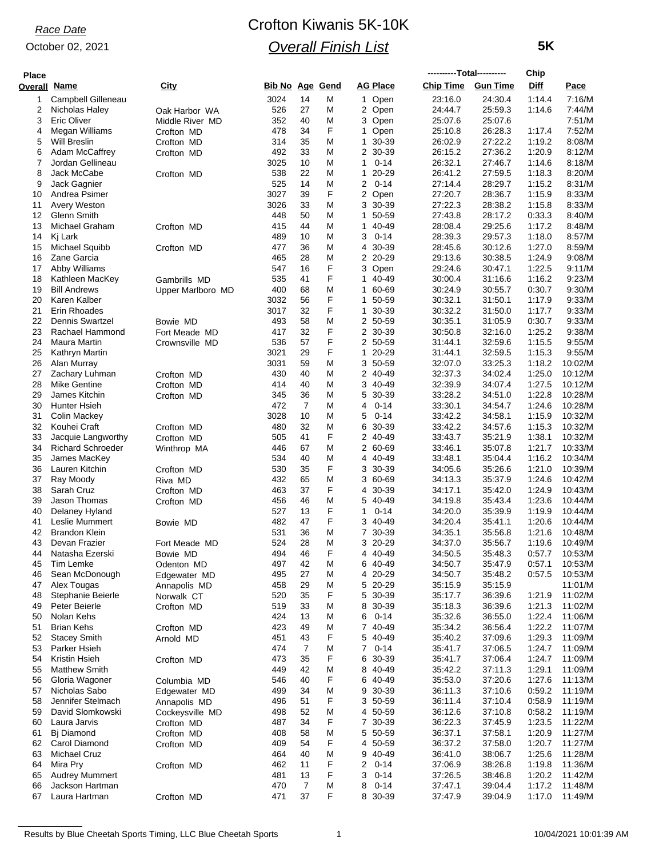## *Race Date*

#### October 02, 2021

## Crofton Kiwanis 5K-10K *Overall Finish List*

 **5K**

| <b>Place</b> |                                    |                                   |                        |                |        |                          | ----------Total---------- |                    | Chip             |                    |
|--------------|------------------------------------|-----------------------------------|------------------------|----------------|--------|--------------------------|---------------------------|--------------------|------------------|--------------------|
| Overall      | <u>Name</u>                        | City                              | <b>Bib No Age Gend</b> |                |        | <b>AG Place</b>          | <b>Chip Time</b>          | <b>Gun Time</b>    | <b>Diff</b>      | <u>Pace</u>        |
| 1            | Campbell Gilleneau                 |                                   | 3024                   | 14             | M      | 1 Open                   | 23:16.0                   | 24:30.4            | 1:14.4           | 7:16/M             |
| 2            | Nicholas Haley                     | Oak Harbor WA                     | 526                    | 27             | M      | 2 Open                   | 24:44.7                   | 25:59.3            | 1:14.6           | 7:44/M             |
| 3            | Eric Oliver                        | Middle River MD                   | 352                    | 40             | Μ      | 3 Open                   | 25:07.6                   | 25:07.6            |                  | 7:51/M             |
| 4            | Megan Williams                     | Crofton MD                        | 478                    | 34             | F      | Open<br>1.               | 25:10.8                   | 26:28.3            | 1:17.4           | 7:52/M             |
| 5            | <b>Will Breslin</b>                | Crofton MD                        | 314                    | 35             | M      | 1.<br>30-39              | 26:02.9                   | 27:22.2            | 1:19.2           | 8:08/M             |
| 6<br>7       | Adam McCaffrey<br>Jordan Gellineau | Crofton MD                        | 492<br>3025            | 33<br>10       | M<br>M | 2 30-39<br>$0 - 14$<br>1 | 26:15.2<br>26:32.1        | 27:36.2<br>27:46.7 | 1:20.9<br>1:14.6 | 8:12/M<br>8:18/M   |
| 8            | Jack McCabe                        | Crofton MD                        | 538                    | 22             | M      | 20-29<br>$\mathbf 1$     | 26:41.2                   | 27:59.5            | 1:18.3           | 8:20/M             |
| 9            | Jack Gagnier                       |                                   | 525                    | 14             | M      | 2<br>$0 - 14$            | 27:14.4                   | 28:29.7            | 1:15.2           | 8:31/M             |
| 10           | Andrea Psimer                      |                                   | 3027                   | 39             | F      | 2<br>Open                | 27:20.7                   | 28:36.7            | 1:15.9           | 8:33/M             |
| 11           | <b>Avery Weston</b>                |                                   | 3026                   | 33             | Μ      | 3 30-39                  | 27:22.3                   | 28:38.2            | 1:15.8           | 8:33/M             |
| 12           | Glenn Smith                        |                                   | 448                    | 50             | M      | 50-59<br>1               | 27:43.8                   | 28:17.2            | 0:33.3           | 8:40/M             |
| 13           | Michael Graham                     | Crofton MD                        | 415                    | 44             | M      | 40-49<br>1               | 28:08.4                   | 29:25.6            | 1:17.2           | 8:48/M             |
| 14           | Kj Lark                            |                                   | 489                    | 10             | M      | 3<br>$0 - 14$            | 28:39.3                   | 29:57.3            | 1:18.0           | 8:57/M             |
| 15           | Michael Squibb                     | Crofton MD                        | 477                    | 36             | M      | 30-39<br>4               | 28:45.6                   | 30:12.6            | 1:27.0           | 8:59/M             |
| 16           | Zane Garcia                        |                                   | 465                    | 28             | M      | 2<br>20-29               | 29:13.6                   | 30:38.5            | 1:24.9           | 9:08/M             |
| 17           | Abby Williams<br>Kathleen MacKey   |                                   | 547<br>535             | 16<br>41       | F<br>F | 3<br>Open<br>1.          | 29:24.6<br>30:00.4        | 30:47.1<br>31:16.6 | 1:22.5<br>1:16.2 | 9:11/M<br>9:23/M   |
| 18<br>19     | <b>Bill Andrews</b>                | Gambrills MD<br>Upper Marlboro MD | 400                    | 68             | M      | 40-49<br>1 60-69         | 30:24.9                   | 30:55.7            | 0:30.7           | 9:30/M             |
| 20           | Karen Kalber                       |                                   | 3032                   | 56             | F      | 50-59<br>1               | 30:32.1                   | 31:50.1            | 1:17.9           | 9:33/M             |
| 21           | Erin Rhoades                       |                                   | 3017                   | 32             | F      | 30-39<br>1.              | 30:32.2                   | 31:50.0            | 1:17.7           | 9:33/M             |
| 22           | <b>Dennis Swartzel</b>             | Bowie MD                          | 493                    | 58             | M      | 2 50-59                  | 30:35.1                   | 31:05.9            | 0:30.7           | 9:33/M             |
| 23           | Rachael Hammond                    | Fort Meade MD                     | 417                    | 32             | F      | 2 30-39                  | 30:50.8                   | 32:16.0            | 1:25.2           | 9:38/M             |
| 24           | Maura Martin                       | Crownsville MD                    | 536                    | 57             | F      | 2 50-59                  | 31:44.1                   | 32:59.6            | 1:15.5           | 9:55/M             |
| 25           | Kathryn Martin                     |                                   | 3021                   | 29             | F      | 1<br>20-29               | 31:44.1                   | 32:59.5            | 1:15.3           | 9:55/M             |
| 26           | Alan Murray                        |                                   | 3031                   | 59             | M      | 3<br>50-59               | 32:07.0                   | 33:25.3            | 1:18.2           | 10:02/M            |
| 27           | Zachary Luhman                     | Crofton MD                        | 430                    | 40             | M      | 2 40-49                  | 32:37.3                   | 34:02.4            | 1:25.0           | 10:12/M            |
| 28           | Mike Gentine                       | Crofton MD                        | 414                    | 40             | M      | 3<br>40-49               | 32:39.9                   | 34.07.4            | 1:27.5           | 10:12/M            |
| 29           | James Kitchin                      | Crofton MD                        | 345                    | 36             | M      | 5<br>30-39               | 33:28.2                   | 34:51.0            | 1:22.8           | 10:28/M            |
| 30           | Hunter Hsieh                       |                                   | 472                    | 7              | M      | 4<br>$0 - 14$            | 33:30.1                   | 34:54.7            | 1:24.6           | 10:28/M            |
| 31           | Colin Mackey                       |                                   | 3028                   | 10             | M      | $0 - 14$<br>5            | 33:42.2                   | 34:58.1            | 1:15.9           | 10:32/M            |
| 32<br>33     | Kouhei Craft<br>Jacquie Langworthy | Crofton MD<br>Crofton MD          | 480<br>505             | 32<br>41       | M<br>F | 6<br>30-39<br>2 40-49    | 33:42.2<br>33:43.7        | 34:57.6<br>35:21.9 | 1:15.3<br>1:38.1 | 10:32/M<br>10:32/M |
| 34           | <b>Richard Schroeder</b>           | Winthrop MA                       | 446                    | 67             | M      | 2 60-69                  | 33.46.1                   | 35:07.8            | 1:21.7           | 10:33/M            |
| 35           | James MacKey                       |                                   | 534                    | 40             | M      | 4 40-49                  | 33:48.1                   | 35:04.4            | 1:16.2           | 10:34/M            |
| 36           | Lauren Kitchin                     | Crofton MD                        | 530                    | 35             | F      | 30-39<br>3               | 34:05.6                   | 35:26.6            | 1:21.0           | 10:39/M            |
| 37           | Ray Moody                          | Riva MD                           | 432                    | 65             | M      | 3<br>60-69               | 34:13.3                   | 35:37.9            | 1:24.6           | 10:42/M            |
| 38           | Sarah Cruz                         | Crofton MD                        | 463                    | 37             | F      | 30-39<br>4               | 34:17.1                   | 35:42.0            | 1:24.9           | 10:43/M            |
| 39           | Jason Thomas                       | Crofton MD                        | 456                    | 46             | M      | 40-49<br>5               | 34:19.8                   | 35.43.4            | 1:23.6           | 10:44/M            |
| 40           | Delaney Hyland                     |                                   | 527                    | 13             | F      | 1<br>$0 - 14$            | 34:20.0                   | 35:39.9            | 1:19.9           | 10:44/M            |
| 41           | Leslie Mummert                     | Bowie MD                          | 482                    | 47             | F      | 3<br>40-49               | 34:20.4                   | 35:41.1            | 1:20.6           | 10:44/M            |
| 42           | <b>Brandon Klein</b>               |                                   | 531                    | 36             | M      | 30-39<br>7               | 34:35.1                   | 35:56.8            | 1:21.6           | 10:48/M            |
| 43           | Devan Frazier                      | Fort Meade MD                     | 524                    | 28             | Μ      | 3 20-29                  | 34:37.0                   | 35:56.7            | 1:19.6           | 10:49/M            |
| 44<br>45     | Natasha Ezerski<br>Tim Lemke       | Bowie MD<br>Odenton MD            | 494<br>497             | 46<br>42       | F<br>M | 440-49<br>6<br>40-49     | 34:50.5<br>34:50.7        | 35.48.3<br>35:47.9 | 0.57.7<br>0.57.1 | 10:53/M<br>10:53/M |
| 46           | Sean McDonough                     | Edgewater MD                      | 495                    | 27             | M      | 4 20-29                  | 34:50.7                   | 35:48.2            | 0:57.5           | 10:53/M            |
| 47           | Alex Tougas                        | Annapolis MD                      | 458                    | 29             | M      | 5<br>20-29               | 35:15.9                   | 35:15.9            |                  | 11:01/M            |
| 48           | Stephanie Beierle                  | Norwalk CT                        | 520                    | 35             | F      | 30-39<br>5               | 35:17.7                   | 36:39.6            | 1:21.9           | 11:02/M            |
| 49           | Peter Beierle                      | Crofton MD                        | 519                    | 33             | M      | 30-39<br>8               | 35:18.3                   | 36:39.6            | 1:21.3           | 11:02/M            |
| 50           | Nolan Kehs                         |                                   | 424                    | 13             | M      | 6<br>$0 - 14$            | 35:32.6                   | 36:55.0            | 1:22.4           | 11:06/M            |
| 51           | <b>Brian Kehs</b>                  | Crofton MD                        | 423                    | 49             | M      | 7 40-49                  | 35:34.2                   | 36.56.4            | 1:22.2           | 11:07/M            |
| 52           | <b>Stacey Smith</b>                | Arnold MD                         | 451                    | 43             | F      | 5<br>40-49               | 35:40.2                   | 37:09.6            | 1:29.3           | 11:09/M            |
| 53           | Parker Hsieh                       |                                   | 474                    | 7              | M      | $0 - 14$<br>7            | 35:41.7                   | 37:06.5            | 1:24.7           | 11:09/M            |
| 54           | Kristin Hsieh                      | Crofton MD                        | 473                    | 35             | F      | 6 30-39                  | 35:41.7                   | 37:06.4            | 1:24.7           | 11:09/M            |
| 55           | <b>Matthew Smith</b>               |                                   | 449                    | 42             | M      | 40-49<br>8               | 35:42.2                   | 37:11.3            | 1:29.1           | 11:09/M            |
| 56<br>57     | Gloria Wagoner<br>Nicholas Sabo    | Columbia MD<br>Edgewater MD       | 546<br>499             | 40<br>34       | F<br>M | 6<br>40-49<br>30-39<br>9 | 35:53.0<br>36:11.3        | 37:20.6<br>37:10.6 | 1:27.6<br>0:59.2 | 11:13/M<br>11:19/M |
| 58           | Jennifer Stelmach                  | Annapolis MD                      | 496                    | 51             | F      | 3 50-59                  | 36:11.4                   | 37:10.4            | 0:58.9           | 11:19/M            |
| 59           | David Slomkowski                   | Cockeysville MD                   | 498                    | 52             | M      | 4 50-59                  | 36:12.6                   | 37:10.8            | 0:58.2           | 11:19/M            |
| 60           | Laura Jarvis                       | Crofton MD                        | 487                    | 34             | F      | 7 30-39                  | 36:22.3                   | 37:45.9            | 1:23.5           | 11:22/M            |
| 61           | Bj Diamond                         | Crofton MD                        | 408                    | 58             | M      | 5<br>50-59               | 36:37.1                   | 37:58.1            | 1:20.9           | 11:27/M            |
| 62           | Carol Diamond                      | Crofton MD                        | 409                    | 54             | F      | 4 50-59                  | 36:37.2                   | 37:58.0            | 1:20.7           | 11:27/M            |
| 63           | <b>Michael Cruz</b>                |                                   | 464                    | 40             | M      | 40-49<br>9               | 36:41.0                   | 38:06.7            | 1:25.6           | 11:28/M            |
| 64           | Mira Pry                           | Crofton MD                        | 462                    | 11             | F      | 2<br>$0 - 14$            | 37:06.9                   | 38:26.8            | 1:19.8           | 11:36/M            |
| 65           | <b>Audrey Mummert</b>              |                                   | 481                    | 13             | F      | 3<br>$0 - 14$            | 37:26.5                   | 38.46.8            | 1:20.2           | 11:42/M            |
| 66           | Jackson Hartman                    |                                   | 470                    | $\overline{7}$ | M      | 8<br>$0 - 14$            | 37:47.1                   | 39:04.4            | 1:17.2           | 11:48/M            |
| 67           | Laura Hartman                      | Crofton MD                        | 471                    | 37             | F      | 8 30-39                  | 37:47.9                   | 39:04.9            | 1:17.0           | 11:49/M            |